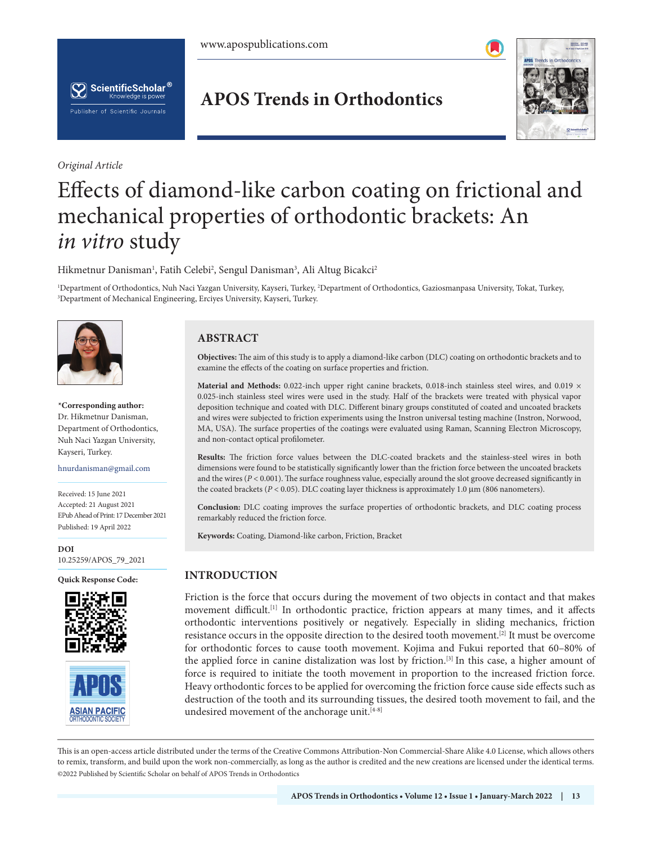

*Original Article*

# **APOS Trends in Orthodontics**



# Effects of diamond-like carbon coating on frictional and mechanical properties of orthodontic brackets: An *in vitro* study

Hikmetnur Danisman<sup>1</sup>, Fatih Celebi<sup>2</sup>, Sengul Danisman<sup>3</sup>, Ali Altug Bicakci<sup>2</sup>

<sup>1</sup>Department of Orthodontics, Nuh Naci Yazgan University, Kayseri, Turkey, <sup>2</sup>Department of Orthodontics, Gaziosmanpasa University, Tokat, Turkey,<br><sup>3</sup>Department of Mechanical Engineering, Ercives University, Kayseri, Turk Department of Mechanical Engineering, Erciyes University, Kayseri, Turkey.



**\*Corresponding author:** Dr. Hikmetnur Danisman, Department of Orthodontics, Nuh Naci Yazgan University, Kayseri, Turkey.

hnurdanisman@gmail.com

Received: 15 June 2021 Accepted: 21 August 2021 EPub Ahead of Print: 17 December 2021 Published: 19 April 2022

**DOI** [10.25259/APOS\\_79\\_2021](https://dx.doi.org/10.25259/APOS_79_2021)

**Quick Response Code:**





# **ABSTRACT**

**Objectives:** The aim of this study is to apply a diamond-like carbon (DLC) coating on orthodontic brackets and to examine the effects of the coating on surface properties and friction.

Material and Methods: 0.022-inch upper right canine brackets, 0.018-inch stainless steel wires, and 0.019  $\times$ 0.025-inch stainless steel wires were used in the study. Half of the brackets were treated with physical vapor deposition technique and coated with DLC. Different binary groups constituted of coated and uncoated brackets and wires were subjected to friction experiments using the Instron universal testing machine (Instron, Norwood, MA, USA). The surface properties of the coatings were evaluated using Raman, Scanning Electron Microscopy, and non-contact optical profilometer.

**Results:** The friction force values between the DLC-coated brackets and the stainless-steel wires in both dimensions were found to be statistically significantly lower than the friction force between the uncoated brackets and the wires ( $P < 0.001$ ). The surface roughness value, especially around the slot groove decreased significantly in the coated brackets (*P* < 0.05). DLC coating layer thickness is approximately 1.0 μm (806 nanometers).

**Conclusion:** DLC coating improves the surface properties of orthodontic brackets, and DLC coating process remarkably reduced the friction force.

**Keywords:** Coating, Diamond-like carbon, Friction, Bracket

# **INTRODUCTION**

Friction is the force that occurs during the movement of two objects in contact and that makes movement difficult.<sup>[1]</sup> In orthodontic practice, friction appears at many times, and it affects orthodontic interventions positively or negatively. Especially in sliding mechanics, friction resistance occurs in the opposite direction to the desired tooth movement.[2] It must be overcome for orthodontic forces to cause tooth movement. Kojima and Fukui reported that 60–80% of the applied force in canine distalization was lost by friction.<sup>[3]</sup> In this case, a higher amount of force is required to initiate the tooth movement in proportion to the increased friction force. Heavy orthodontic forces to be applied for overcoming the friction force cause side effects such as destruction of the tooth and its surrounding tissues, the desired tooth movement to fail, and the undesired movement of the anchorage unit.<sup>[4-8]</sup>

is is an open-access article distributed under the terms of the Creative Commons Attribution-Non Commercial-Share Alike 4.0 License, which allows others to remix, transform, and build upon the work non-commercially, as long as the author is credited and the new creations are licensed under the identical terms. ©2022 Published by Scientific Scholar on behalf of APOS Trends in Orthodontics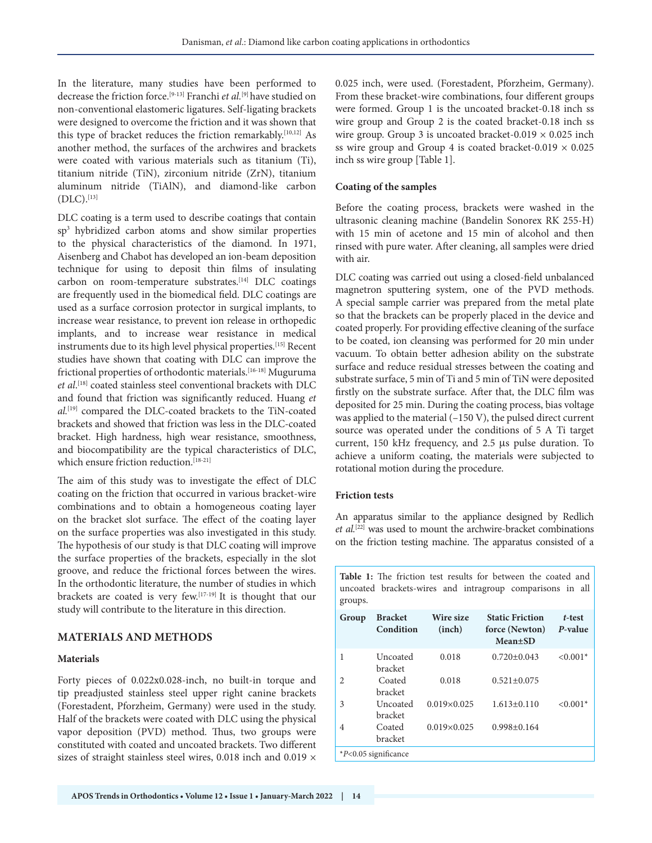In the literature, many studies have been performed to decrease the friction force.[9-13] Franchi *et al.*[9] have studied on non-conventional elastomeric ligatures. Self-ligating brackets were designed to overcome the friction and it was shown that this type of bracket reduces the friction remarkably.<sup>[10,12]</sup> As another method, the surfaces of the archwires and brackets were coated with various materials such as titanium (Ti), titanium nitride (TiN), zirconium nitride (ZrN), titanium aluminum nitride (TiAlN), and diamond-like carbon  $(DLC).$ [13]

DLC coating is a term used to describe coatings that contain sp3 hybridized carbon atoms and show similar properties to the physical characteristics of the diamond. In 1971, Aisenberg and Chabot has developed an ion-beam deposition technique for using to deposit thin films of insulating carbon on room-temperature substrates.<sup>[14]</sup> DLC coatings are frequently used in the biomedical field. DLC coatings are used as a surface corrosion protector in surgical implants, to increase wear resistance, to prevent ion release in orthopedic implants, and to increase wear resistance in medical instruments due to its high level physical properties.[15] Recent studies have shown that coating with DLC can improve the frictional properties of orthodontic materials.[16-18] Muguruma *et al*. [18] coated stainless steel conventional brackets with DLC and found that friction was significantly reduced. Huang *et al.*[19] compared the DLC-coated brackets to the TiN-coated brackets and showed that friction was less in the DLC-coated bracket. High hardness, high wear resistance, smoothness, and biocompatibility are the typical characteristics of DLC, which ensure friction reduction.<sup>[18-21]</sup>

The aim of this study was to investigate the effect of DLC coating on the friction that occurred in various bracket-wire combinations and to obtain a homogeneous coating layer on the bracket slot surface. The effect of the coating layer on the surface properties was also investigated in this study. The hypothesis of our study is that DLC coating will improve the surface properties of the brackets, especially in the slot groove, and reduce the frictional forces between the wires. In the orthodontic literature, the number of studies in which brackets are coated is very few.[17-19] It is thought that our study will contribute to the literature in this direction.

# **MATERIALS AND METHODS**

#### **Materials**

Forty pieces of 0.022x0.028-inch, no built-in torque and tip preadjusted stainless steel upper right canine brackets (Forestadent, Pforzheim, Germany) were used in the study. Half of the brackets were coated with DLC using the physical vapor deposition (PVD) method. Thus, two groups were constituted with coated and uncoated brackets. Two different sizes of straight stainless steel wires, 0.018 inch and 0.019  $\times$  0.025 inch, were used. (Forestadent, Pforzheim, Germany). From these bracket-wire combinations, four different groups were formed. Group 1 is the uncoated bracket-0.18 inch ss wire group and Group 2 is the coated bracket-0.18 inch ss wire group. Group 3 is uncoated bracket-0.019  $\times$  0.025 inch ss wire group and Group 4 is coated bracket-0.019  $\times$  0.025 inch ss wire group [Table 1].

#### **Coating of the samples**

Before the coating process, brackets were washed in the ultrasonic cleaning machine (Bandelin Sonorex RK 255-H) with 15 min of acetone and 15 min of alcohol and then rinsed with pure water. After cleaning, all samples were dried with air.

DLC coating was carried out using a closed-field unbalanced magnetron sputtering system, one of the PVD methods. A special sample carrier was prepared from the metal plate so that the brackets can be properly placed in the device and coated properly. For providing effective cleaning of the surface to be coated, ion cleansing was performed for 20 min under vacuum. To obtain better adhesion ability on the substrate surface and reduce residual stresses between the coating and substrate surface, 5 min of Ti and 5 min of TiN were deposited firstly on the substrate surface. After that, the DLC film was deposited for 25 min. During the coating process, bias voltage was applied to the material (–150 V), the pulsed direct current source was operated under the conditions of 5 A Ti target current, 150 kHz frequency, and 2.5 µs pulse duration. To achieve a uniform coating, the materials were subjected to rotational motion during the procedure.

#### **Friction tests**

An apparatus similar to the appliance designed by Redlich *et al.*[22] was used to mount the archwire-bracket combinations on the friction testing machine. The apparatus consisted of a

**Table 1:** The friction test results for between the coated and

| Group | <b>Bracket</b><br>Condition | Wire size<br>(inch) | <b>Static Friction</b><br>force (Newton)<br>$Mean \pm SD$ | t-test<br>P-value |
|-------|-----------------------------|---------------------|-----------------------------------------------------------|-------------------|
| 1     | Uncoated<br>bracket         | 0.018               | $0.720 \pm 0.043$                                         | $< 0.001*$        |
| 2     | Coated<br>bracket           | 0.018               | $0.521 \pm 0.075$                                         |                   |
| 3     | Uncoated<br>bracket         | $0.019\times0.025$  | $1.613 \pm 0.110$                                         | $< 0.001*$        |
| 4     | Coated<br>bracket           | $0.019\times0.025$  | $0.998 \pm 0.164$                                         |                   |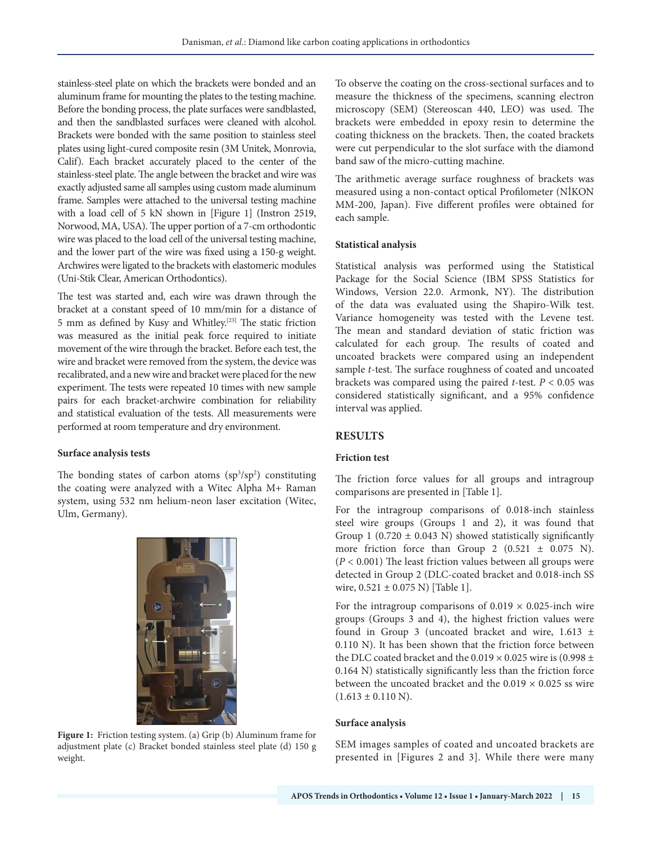stainless-steel plate on which the brackets were bonded and an aluminum frame for mounting the plates to the testing machine. Before the bonding process, the plate surfaces were sandblasted, and then the sandblasted surfaces were cleaned with alcohol. Brackets were bonded with the same position to stainless steel plates using light-cured composite resin (3M Unitek, Monrovia, Calif). Each bracket accurately placed to the center of the stainless-steel plate. The angle between the bracket and wire was exactly adjusted same all samples using custom made aluminum frame. Samples were attached to the universal testing machine with a load cell of 5 kN shown in [Figure 1] (Instron 2519, Norwood, MA, USA). The upper portion of a 7-cm orthodontic wire was placed to the load cell of the universal testing machine, and the lower part of the wire was fixed using a 150-g weight. Archwires were ligated to the brackets with elastomeric modules (Uni-Stik Clear, American Orthodontics).

The test was started and, each wire was drawn through the bracket at a constant speed of 10 mm/min for a distance of 5 mm as defined by Kusy and Whitley.[23] The static friction was measured as the initial peak force required to initiate movement of the wire through the bracket. Before each test, the wire and bracket were removed from the system, the device was recalibrated, and a new wire and bracket were placed for the new experiment. The tests were repeated 10 times with new sample pairs for each bracket-archwire combination for reliability and statistical evaluation of the tests. All measurements were performed at room temperature and dry environment.

#### **Surface analysis tests**

The bonding states of carbon atoms  $(sp<sup>3</sup>/sp<sup>2</sup>)$  constituting the coating were analyzed with a Witec Alpha M+ Raman system, using 532 nm helium-neon laser excitation (Witec, Ulm, Germany).



**Figure 1:** Friction testing system. (a) Grip (b) Aluminum frame for adjustment plate (c) Bracket bonded stainless steel plate (d) 150 g weight.

To observe the coating on the cross-sectional surfaces and to measure the thickness of the specimens, scanning electron microscopy (SEM) (Stereoscan 440, LEO) was used. The brackets were embedded in epoxy resin to determine the coating thickness on the brackets. Then, the coated brackets were cut perpendicular to the slot surface with the diamond band saw of the micro-cutting machine.

The arithmetic average surface roughness of brackets was measured using a non-contact optical Profilometer (NİKON MM-200, Japan). Five different profiles were obtained for each sample.

## **Statistical analysis**

Statistical analysis was performed using the Statistical Package for the Social Science (IBM SPSS Statistics for Windows, Version 22.0. Armonk, NY). The distribution of the data was evaluated using the Shapiro-Wilk test. Variance homogeneity was tested with the Levene test. The mean and standard deviation of static friction was calculated for each group. The results of coated and uncoated brackets were compared using an independent sample *t*-test. The surface roughness of coated and uncoated brackets was compared using the paired *t*-test. *P* < 0.05 was considered statistically significant, and a 95% confidence interval was applied.

# **RESULTS**

# **Friction test**

The friction force values for all groups and intragroup comparisons are presented in [Table 1].

For the intragroup comparisons of 0.018-inch stainless steel wire groups (Groups 1 and 2), it was found that Group 1 (0.720  $\pm$  0.043 N) showed statistically significantly more friction force than Group 2  $(0.521 \pm 0.075 \text{ N})$ . (*P* < 0.001) The least friction values between all groups were detected in Group 2 (DLC-coated bracket and 0.018-inch SS wire,  $0.521 \pm 0.075$  N) [Table 1].

For the intragroup comparisons of  $0.019 \times 0.025$ -inch wire groups (Groups 3 and 4), the highest friction values were found in Group 3 (uncoated bracket and wire,  $1.613 \pm$ 0.110 N). It has been shown that the friction force between the DLC coated bracket and the  $0.019 \times 0.025$  wire is (0.998 ± 0.164 N) statistically significantly less than the friction force between the uncoated bracket and the  $0.019 \times 0.025$  ss wire  $(1.613 \pm 0.110 \text{ N}).$ 

#### **Surface analysis**

SEM images samples of coated and uncoated brackets are presented in [Figures 2 and 3]. While there were many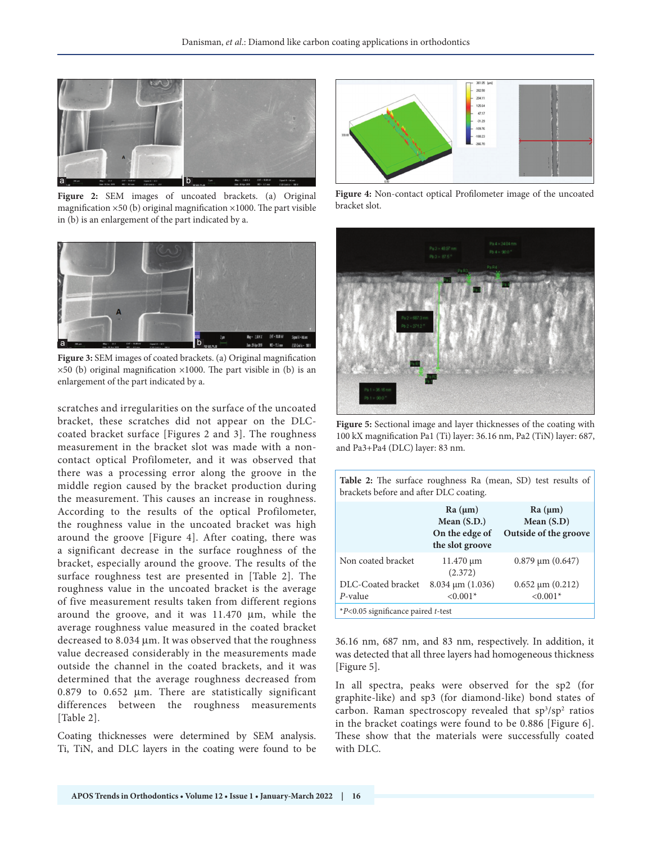

Figure 2: SEM images of uncoated brackets. (a) Original magnification  $\times$ 50 (b) original magnification  $\times$ 1000. The part visible in (b) is an enlargement of the part indicated by a.



**Figure 3:** SEM images of coated brackets. (a) Original magnification  $\times$ 50 (b) original magnification  $\times$ 1000. The part visible in (b) is an enlargement of the part indicated by a.

scratches and irregularities on the surface of the uncoated bracket, these scratches did not appear on the DLCcoated bracket surface [Figures 2 and 3]. The roughness measurement in the bracket slot was made with a noncontact optical Profilometer, and it was observed that there was a processing error along the groove in the middle region caused by the bracket production during the measurement. This causes an increase in roughness. According to the results of the optical Profilometer, the roughness value in the uncoated bracket was high around the groove [Figure 4]. After coating, there was a significant decrease in the surface roughness of the bracket, especially around the groove. The results of the surface roughness test are presented in [Table 2]. The roughness value in the uncoated bracket is the average of five measurement results taken from different regions around the groove, and it was  $11.470 \mu m$ , while the average roughness value measured in the coated bracket decreased to 8.034 µm. It was observed that the roughness value decreased considerably in the measurements made outside the channel in the coated brackets, and it was determined that the average roughness decreased from 0.879 to 0.652 µm. There are statistically significant differences between the roughness measurements [Table 2].

Coating thicknesses were determined by SEM analysis. Ti, TiN, and DLC layers in the coating were found to be



**Figure 4:** Non-contact optical Profilometer image of the uncoated bracket slot.



**Figure 5:** Sectional image and layer thicknesses of the coating with 100 kX magnification Pa1 (Ti) layer: 36.16 nm, Pa2 (TiN) layer: 687, and Pa3+Pa4 (DLC) layer: 83 nm.

| Table 2: The surface roughness Ra (mean, SD) test results of<br>brackets before and after DLC coating. |                                                               |                                                  |  |  |  |
|--------------------------------------------------------------------------------------------------------|---------------------------------------------------------------|--------------------------------------------------|--|--|--|
|                                                                                                        | Ra (µm)<br>Mean $(S.D.)$<br>On the edge of<br>the slot groove | Ra (µm)<br>Mean $(S.D)$<br>Outside of the groove |  |  |  |
| Non coated bracket                                                                                     | $11.470 \mu m$<br>(2.372)                                     | $0.879 \,\mathrm{\upmu m}$ $(0.647)$             |  |  |  |
| DLC-Coated bracket<br>P-value                                                                          | $8.034 \mu m$ (1.036)<br>$< 0.001*$                           | $0.652 \mu m (0.212)$<br>$< 0.001*$              |  |  |  |
| $*P<0.05$ significance paired t-test                                                                   |                                                               |                                                  |  |  |  |

36.16 nm, 687 nm, and 83 nm, respectively. In addition, it was detected that all three layers had homogeneous thickness [Figure 5].

In all spectra, peaks were observed for the sp2 (for graphite-like) and sp3 (for diamond-like) bond states of carbon. Raman spectroscopy revealed that sp<sup>3</sup>/sp<sup>2</sup> ratios in the bracket coatings were found to be 0.886 [Figure 6]. These show that the materials were successfully coated with DLC.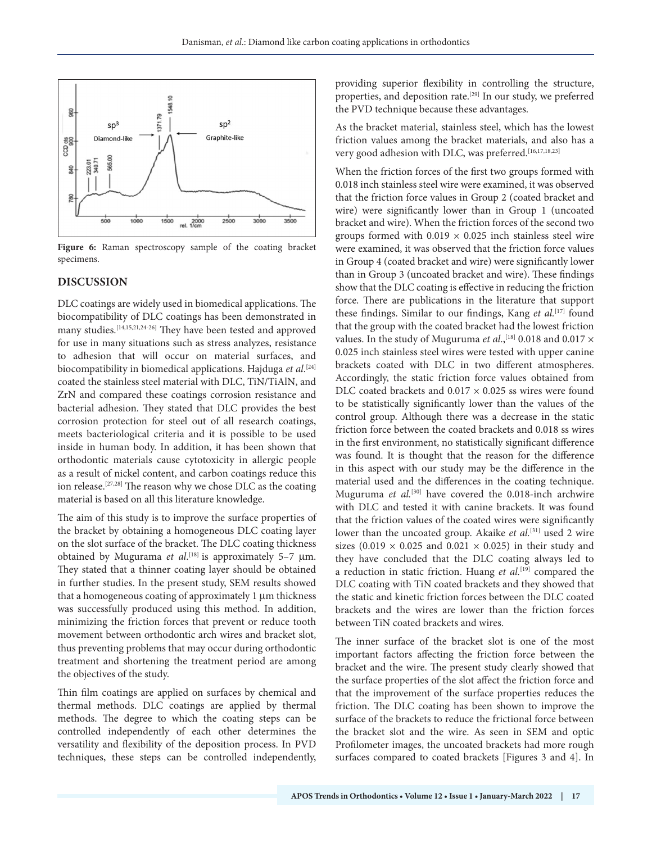

Figure 6: Raman spectroscopy sample of the coating bracket specimens.

#### **DISCUSSION**

DLC coatings are widely used in biomedical applications. The biocompatibility of DLC coatings has been demonstrated in many studies.[14,15,21,24-26] They have been tested and approved for use in many situations such as stress analyzes, resistance to adhesion that will occur on material surfaces, and biocompatibility in biomedical applications. Hajduga *et al*. [24] coated the stainless steel material with DLC, TiN/TiAlN, and ZrN and compared these coatings corrosion resistance and bacterial adhesion. They stated that DLC provides the best corrosion protection for steel out of all research coatings, meets bacteriological criteria and it is possible to be used inside in human body. In addition, it has been shown that orthodontic materials cause cytotoxicity in allergic people as a result of nickel content, and carbon coatings reduce this ion release.[27,28] The reason why we chose DLC as the coating material is based on all this literature knowledge.

The aim of this study is to improve the surface properties of the bracket by obtaining a homogeneous DLC coating layer on the slot surface of the bracket. The DLC coating thickness obtained by Mugurama *et al*. [18] is approximately 5–7 µm. They stated that a thinner coating layer should be obtained in further studies. In the present study, SEM results showed that a homogeneous coating of approximately 1 µm thickness was successfully produced using this method. In addition, minimizing the friction forces that prevent or reduce tooth movement between orthodontic arch wires and bracket slot, thus preventing problems that may occur during orthodontic treatment and shortening the treatment period are among the objectives of the study.

Thin film coatings are applied on surfaces by chemical and thermal methods. DLC coatings are applied by thermal methods. The degree to which the coating steps can be controlled independently of each other determines the versatility and flexibility of the deposition process. In PVD techniques, these steps can be controlled independently, providing superior flexibility in controlling the structure, properties, and deposition rate.[29] In our study, we preferred the PVD technique because these advantages.

As the bracket material, stainless steel, which has the lowest friction values among the bracket materials, and also has a very good adhesion with DLC, was preferred.<sup>[16,17,18,23]</sup>

When the friction forces of the first two groups formed with 0.018 inch stainless steel wire were examined, it was observed that the friction force values in Group 2 (coated bracket and wire) were significantly lower than in Group 1 (uncoated bracket and wire). When the friction forces of the second two groups formed with  $0.019 \times 0.025$  inch stainless steel wire were examined, it was observed that the friction force values in Group 4 (coated bracket and wire) were significantly lower than in Group 3 (uncoated bracket and wire). These findings show that the DLC coating is effective in reducing the friction force. There are publications in the literature that support these findings. Similar to our findings, Kang et al.<sup>[17]</sup> found that the group with the coated bracket had the lowest friction values. In the study of Muguruma *et al.*,<sup>[18]</sup> 0.018 and 0.017  $\times$ 0.025 inch stainless steel wires were tested with upper canine brackets coated with DLC in two different atmospheres. Accordingly, the static friction force values obtained from DLC coated brackets and  $0.017 \times 0.025$  ss wires were found to be statistically significantly lower than the values of the control group. Although there was a decrease in the static friction force between the coated brackets and 0.018 ss wires in the first environment, no statistically significant difference was found. It is thought that the reason for the difference in this aspect with our study may be the difference in the material used and the differences in the coating technique. Muguruma *et al.*[30] have covered the 0.018-inch archwire with DLC and tested it with canine brackets. It was found that the friction values of the coated wires were significantly lower than the uncoated group. Akaike *et al.*<sup>[31]</sup> used 2 wire sizes (0.019  $\times$  0.025 and 0.021  $\times$  0.025) in their study and they have concluded that the DLC coating always led to a reduction in static friction. Huang *et al.*[19] compared the DLC coating with TiN coated brackets and they showed that the static and kinetic friction forces between the DLC coated brackets and the wires are lower than the friction forces between TiN coated brackets and wires.

The inner surface of the bracket slot is one of the most important factors affecting the friction force between the bracket and the wire. The present study clearly showed that the surface properties of the slot affect the friction force and that the improvement of the surface properties reduces the friction. The DLC coating has been shown to improve the surface of the brackets to reduce the frictional force between the bracket slot and the wire. As seen in SEM and optic Profilometer images, the uncoated brackets had more rough surfaces compared to coated brackets [Figures 3 and 4]. In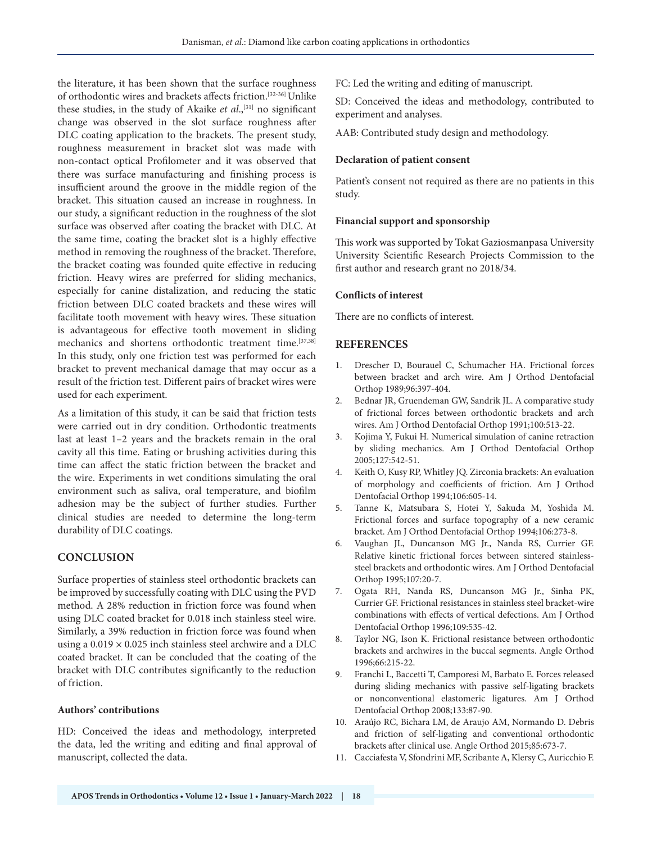the literature, it has been shown that the surface roughness of orthodontic wires and brackets affects friction.[32-36] Unlike these studies, in the study of Akaike *et al*.,[31] no significant change was observed in the slot surface roughness after DLC coating application to the brackets. The present study, roughness measurement in bracket slot was made with non-contact optical Profilometer and it was observed that there was surface manufacturing and finishing process is insufficient around the groove in the middle region of the bracket. This situation caused an increase in roughness. In our study, a significant reduction in the roughness of the slot surface was observed after coating the bracket with DLC. At the same time, coating the bracket slot is a highly effective method in removing the roughness of the bracket. Therefore, the bracket coating was founded quite effective in reducing friction. Heavy wires are preferred for sliding mechanics, especially for canine distalization, and reducing the static friction between DLC coated brackets and these wires will facilitate tooth movement with heavy wires. These situation is advantageous for effective tooth movement in sliding mechanics and shortens orthodontic treatment time.[37,38] In this study, only one friction test was performed for each bracket to prevent mechanical damage that may occur as a result of the friction test. Different pairs of bracket wires were used for each experiment.

As a limitation of this study, it can be said that friction tests were carried out in dry condition. Orthodontic treatments last at least 1–2 years and the brackets remain in the oral cavity all this time. Eating or brushing activities during this time can affect the static friction between the bracket and the wire. Experiments in wet conditions simulating the oral environment such as saliva, oral temperature, and biofilm adhesion may be the subject of further studies. Further clinical studies are needed to determine the long-term durability of DLC coatings.

# **CONCLUSION**

Surface properties of stainless steel orthodontic brackets can be improved by successfully coating with DLC using the PVD method. A 28% reduction in friction force was found when using DLC coated bracket for 0.018 inch stainless steel wire. Similarly, a 39% reduction in friction force was found when using a  $0.019 \times 0.025$  inch stainless steel archwire and a DLC coated bracket. It can be concluded that the coating of the bracket with DLC contributes significantly to the reduction of friction.

# **Authors' contributions**

HD: Conceived the ideas and methodology, interpreted the data, led the writing and editing and final approval of manuscript, collected the data.

FC: Led the writing and editing of manuscript.

SD: Conceived the ideas and methodology, contributed to experiment and analyses.

AAB: Contributed study design and methodology.

#### **Declaration of patient consent**

Patient's consent not required as there are no patients in this study.

#### **Financial support and sponsorship**

This work was supported by Tokat Gaziosmanpasa University University Scientific Research Projects Commission to the first author and research grant no 2018/34.

#### **Conflicts of interest**

There are no conflicts of interest.

## **REFERENCES**

- 1. Drescher D, Bourauel C, Schumacher HA. Frictional forces between bracket and arch wire. Am J Orthod Dentofacial Orthop 1989;96:397-404.
- 2. Bednar JR, Gruendeman GW, Sandrik JL. A comparative study of frictional forces between orthodontic brackets and arch wires. Am J Orthod Dentofacial Orthop 1991;100:513-22.
- 3. Kojima Y, Fukui H. Numerical simulation of canine retraction by sliding mechanics. Am J Orthod Dentofacial Orthop 2005;127:542-51.
- 4. Keith O, Kusy RP, Whitley JQ. Zirconia brackets: An evaluation of morphology and coefficients of friction. Am J Orthod Dentofacial Orthop 1994;106:605-14.
- 5. Tanne K, Matsubara S, Hotei Y, Sakuda M, Yoshida M. Frictional forces and surface topography of a new ceramic bracket. Am J Orthod Dentofacial Orthop 1994;106:273-8.
- 6. Vaughan JL, Duncanson MG Jr., Nanda RS, Currier GF. Relative kinetic frictional forces between sintered stainlesssteel brackets and orthodontic wires. Am J Orthod Dentofacial Orthop 1995;107:20-7.
- 7. Ogata RH, Nanda RS, Duncanson MG Jr., Sinha PK, Currier GF. Frictional resistances in stainless steel bracket-wire combinations with effects of vertical defections. Am J Orthod Dentofacial Orthop 1996;109:535-42.
- 8. Taylor NG, Ison K. Frictional resistance between orthodontic brackets and archwires in the buccal segments. Angle Orthod 1996;66:215-22.
- 9. Franchi L, Baccetti T, Camporesi M, Barbato E. Forces released during sliding mechanics with passive self-ligating brackets or nonconventional elastomeric ligatures. Am J Orthod Dentofacial Orthop 2008;133:87-90.
- 10. Araújo RC, Bichara LM, de Araujo AM, Normando D. Debris and friction of self-ligating and conventional orthodontic brackets after clinical use. Angle Orthod 2015;85:673-7.
- 11. Cacciafesta V, Sfondrini MF, Scribante A, Klersy C, Auricchio F.